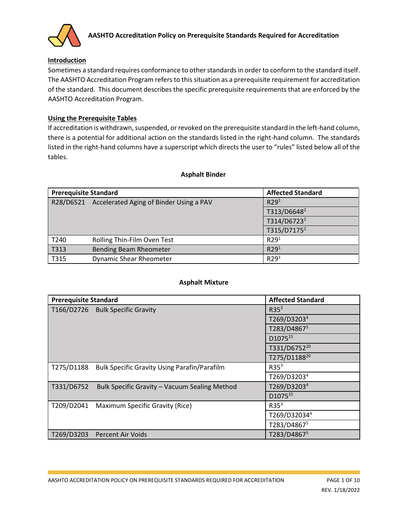

## **Introduction**

Sometimes a standard requires conformance to other standardsin order to conform to the standard itself. The AASHTO Accreditation Program refers to this situation as a prerequisite requirement for accreditation of the standard. This document describes the specific prerequisite requirements that are enforced by the AASHTO Accreditation Program.

## **Using the Prerequisite Tables**

If accreditation is withdrawn, suspended, or revoked on the prerequisite standard in the left-hand column, there is a potential for additional action on the standards listed in the right-hand column. The standards listed in the right-hand columns have a superscript which directs the user to "rules" listed below all of the tables.

### **Asphalt Binder**

| <b>Prerequisite Standard</b> |                                                   | <b>Affected Standard</b> |
|------------------------------|---------------------------------------------------|--------------------------|
|                              | R28/D6521 Accelerated Aging of Binder Using a PAV | R29 <sup>1</sup>         |
|                              |                                                   | T313/D6648 <sup>2</sup>  |
|                              |                                                   | T314/D6723 <sup>2</sup>  |
|                              |                                                   | T315/D7175 <sup>2</sup>  |
| T240                         | Rolling Thin-Film Oven Test                       | R29 <sup>1</sup>         |
| T313                         | Bending Beam Rheometer                            | R29 <sup>1</sup>         |
| T315                         | <b>Dynamic Shear Rheometer</b>                    | R29 <sup>1</sup>         |

### **Asphalt Mixture**

| <b>Prerequisite Standard</b> |                                                     | <b>Affected Standard</b> |
|------------------------------|-----------------------------------------------------|--------------------------|
|                              | T166/D2726 Bulk Specific Gravity                    | R35 <sup>3</sup>         |
|                              |                                                     | T269/D3203 <sup>4</sup>  |
|                              |                                                     | T283/D48675              |
|                              |                                                     | D107515                  |
|                              |                                                     | T331/D6752 <sup>20</sup> |
|                              |                                                     | T275/D1188 <sup>20</sup> |
| T275/D1188                   | <b>Bulk Specific Gravity Using Parafin/Parafilm</b> | R35 <sup>3</sup>         |
|                              |                                                     | T269/D3203 <sup>4</sup>  |
| T331/D6752                   | Bulk Specific Gravity - Vacuum Sealing Method       | T269/D3203 <sup>4</sup>  |
|                              |                                                     | D107515                  |
| T209/D2041                   | Maximum Specific Gravity (Rice)                     | R35 <sup>3</sup>         |
|                              |                                                     | T269/D320344             |
|                              |                                                     | T283/D48675              |
|                              | T269/D3203 Percent Air Voids                        | T283/D4867 <sup>5</sup>  |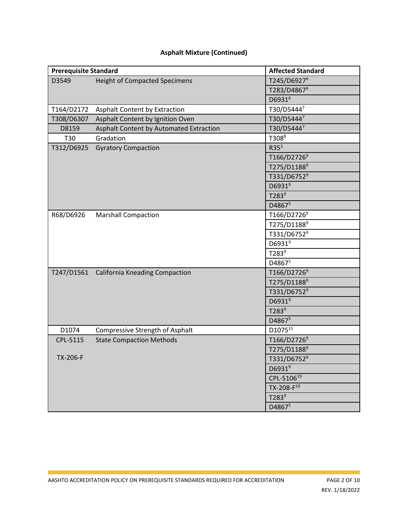# **Asphalt Mixture (Continued)**

| <b>Prerequisite Standard</b> |                                           | <b>Affected Standard</b> |
|------------------------------|-------------------------------------------|--------------------------|
| D3549                        | <b>Height of Compacted Specimens</b>      | T245/D6927 <sup>6</sup>  |
|                              |                                           | T283/D4867 <sup>6</sup>  |
|                              |                                           | D6931 <sup>6</sup>       |
| T164/D2172                   | <b>Asphalt Content by Extraction</b>      | T30/D54447               |
| T308/D6307                   | Asphalt Content by Ignition Oven          | T30/D54447               |
| D8159                        | Asphalt Content by Automated Extraction   | T30/D54447               |
| T30                          | Gradation                                 | $T308^8$                 |
| T312/D6925                   | <b>Gyratory Compaction</b>                | R35 <sup>3</sup>         |
|                              |                                           | T166/D2726 <sup>9</sup>  |
|                              |                                           | T275/D1188 <sup>9</sup>  |
|                              |                                           | T331/D6752 <sup>9</sup>  |
|                              |                                           | D6931 <sup>9</sup>       |
|                              |                                           | T283 <sup>9</sup>        |
|                              |                                           | D48675                   |
| R68/D6926                    | <b>Marshall Compaction</b>                | T166/D2726 <sup>9</sup>  |
|                              |                                           | T275/D1188 <sup>9</sup>  |
|                              |                                           | T331/D6752 <sup>9</sup>  |
|                              |                                           | D6931 <sup>9</sup>       |
|                              |                                           | T283 <sup>9</sup>        |
|                              |                                           | D48675                   |
|                              | T247/D1561 California Kneading Compaction | T166/D2726 <sup>9</sup>  |
|                              |                                           | T275/D1188 <sup>9</sup>  |
|                              |                                           | T331/D6752 <sup>9</sup>  |
|                              |                                           | D6931 <sup>9</sup>       |
|                              |                                           | T283 <sup>9</sup>        |
|                              |                                           | D48675                   |
| D1074                        | Compressive Strength of Asphalt           | D1075 <sup>15</sup>      |
| CPL-5115                     | <b>State Compaction Methods</b>           | T166/D2726 <sup>9</sup>  |
|                              |                                           | T275/D1188 <sup>9</sup>  |
| TX-206-F                     |                                           | T331/D6752 <sup>9</sup>  |
|                              |                                           | D6931 <sup>9</sup>       |
|                              |                                           | CPL-510619               |
|                              |                                           | TX-208-F <sup>19</sup>   |
|                              |                                           | T283 <sup>9</sup>        |
|                              |                                           | D48675                   |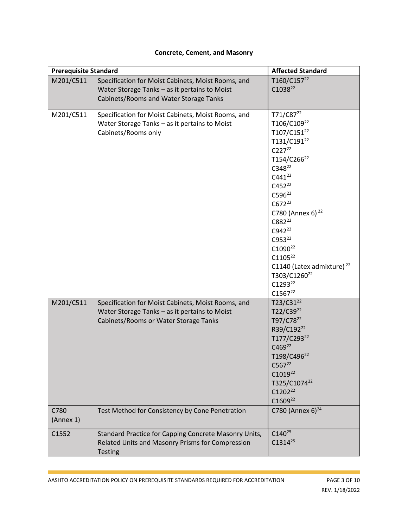## **Concrete, Cement, and Masonry**

| <b>Prerequisite Standard</b> |                                                                                                                                               | <b>Affected Standard</b>                                                                                                                                                                                                                                                                                                                                                                                                                                                  |
|------------------------------|-----------------------------------------------------------------------------------------------------------------------------------------------|---------------------------------------------------------------------------------------------------------------------------------------------------------------------------------------------------------------------------------------------------------------------------------------------------------------------------------------------------------------------------------------------------------------------------------------------------------------------------|
| M201/C511                    | Specification for Moist Cabinets, Moist Rooms, and<br>Water Storage Tanks - as it pertains to Moist<br>Cabinets/Rooms and Water Storage Tanks | T160/C157 <sup>22</sup><br>C1038 <sup>22</sup>                                                                                                                                                                                                                                                                                                                                                                                                                            |
| M201/C511                    | Specification for Moist Cabinets, Moist Rooms, and<br>Water Storage Tanks - as it pertains to Moist<br>Cabinets/Rooms only                    | T71/C87 <sup>22</sup><br>T106/C109 <sup>22</sup><br>T107/C151 <sup>22</sup><br>T131/C191 <sup>22</sup><br>$C227^{22}$<br>T154/C266 <sup>22</sup><br>C348 <sup>22</sup><br>$C441^{22}$<br>$C452^{22}$<br>$C596^{22}$<br>$C672^{22}$<br>C780 (Annex 6) <sup>22</sup><br>C882 <sup>22</sup><br>C942 <sup>22</sup><br>C953 <sup>22</sup><br>$C1090^{22}$<br>$C1105^{22}$<br>C1140 (Latex admixture) <sup>22</sup><br>T303/C1260 <sup>22</sup><br>$C1293^{22}$<br>$C1567^{22}$ |
| M201/C511                    | Specification for Moist Cabinets, Moist Rooms, and<br>Water Storage Tanks - as it pertains to Moist<br>Cabinets/Rooms or Water Storage Tanks  | $T23/C31^{22}$<br>T22/C39 <sup>22</sup><br>T97/C78 <sup>22</sup><br>R39/C192 <sup>22</sup><br>T177/C293 <sup>22</sup><br>C469 <sup>22</sup><br>T198/C496 <sup>22</sup><br>$C567^{22}$<br>C1019 <sup>22</sup><br>T325/C1074 <sup>22</sup><br>C1202 <sup>22</sup><br>$C1609^{22}$                                                                                                                                                                                           |
| C780<br>(Annex 1)            | Test Method for Consistency by Cone Penetration                                                                                               | C780 (Annex 6) $^{24}$                                                                                                                                                                                                                                                                                                                                                                                                                                                    |
| C1552                        | Standard Practice for Capping Concrete Masonry Units,<br>Related Units and Masonry Prisms for Compression<br><b>Testing</b>                   | $C140^{25}$<br>$C1314^{25}$                                                                                                                                                                                                                                                                                                                                                                                                                                               |

T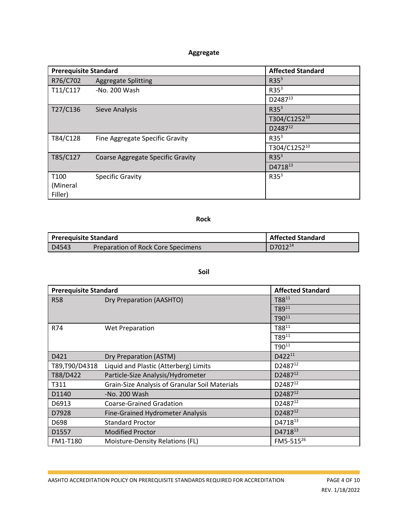# **Aggregate**

| <b>Prerequisite Standard</b> |                                          | <b>Affected Standard</b> |
|------------------------------|------------------------------------------|--------------------------|
| R76/C702                     | <b>Aggregate Splitting</b>               | R35 <sup>3</sup>         |
| T11/C117                     | -No. 200 Wash                            | R35 <sup>3</sup>         |
|                              |                                          | D2487 <sup>13</sup>      |
| T27/C136                     | <b>Sieve Analysis</b>                    | R35 <sup>3</sup>         |
|                              |                                          | T304/C125210             |
|                              |                                          | D2487 <sup>12</sup>      |
| T84/C128                     | Fine Aggregate Specific Gravity          | R35 <sup>3</sup>         |
|                              |                                          | T304/C125210             |
| T85/C127                     | <b>Coarse Aggregate Specific Gravity</b> | R35 <sup>3</sup>         |
|                              |                                          | D4718 <sup>13</sup>      |
| T <sub>100</sub>             | <b>Specific Gravity</b>                  | R35 <sup>3</sup>         |
| (Mineral                     |                                          |                          |
| Filler)                      |                                          |                          |

### **Rock**

| <b>Prerequisite Standard</b> |                                    | <b>Affected Standard</b> |
|------------------------------|------------------------------------|--------------------------|
| D4543                        | Preparation of Rock Core Specimens | D7012 <sup>14</sup>      |

## **Soil**

| <b>Prerequisite Standard</b> |                                                       | <b>Affected Standard</b> |
|------------------------------|-------------------------------------------------------|--------------------------|
| <b>R58</b>                   | Dry Preparation (AASHTO)                              | T8811                    |
|                              |                                                       | T8911                    |
|                              |                                                       | $T90^{11}$               |
| R74                          | <b>Wet Preparation</b>                                | T8811                    |
|                              |                                                       | T8911                    |
|                              |                                                       | $T90^{11}$               |
| D421                         | Dry Preparation (ASTM)                                | $D422^{11}$              |
| T89,T90/D4318                | Liquid and Plastic (Atterberg) Limits                 | D2487 <sup>12</sup>      |
| T88/D422                     | Particle-Size Analysis/Hydrometer                     | $D2487^{12}$             |
| T311                         | <b>Grain-Size Analysis of Granular Soil Materials</b> | D2487 <sup>12</sup>      |
| D1140                        | -No. 200 Wash                                         | D2487 <sup>12</sup>      |
| D6913                        | <b>Coarse-Grained Gradation</b>                       | D2487 <sup>12</sup>      |
| D7928                        | <b>Fine-Grained Hydrometer Analysis</b>               | $D2487^{12}$             |
| D698                         | <b>Standard Proctor</b>                               | D4718 <sup>13</sup>      |
| D1557                        | <b>Modified Proctor</b>                               | D471813                  |
| <b>FM1-T180</b>              | Moisture-Density Relations (FL)                       | FM5-515 <sup>26</sup>    |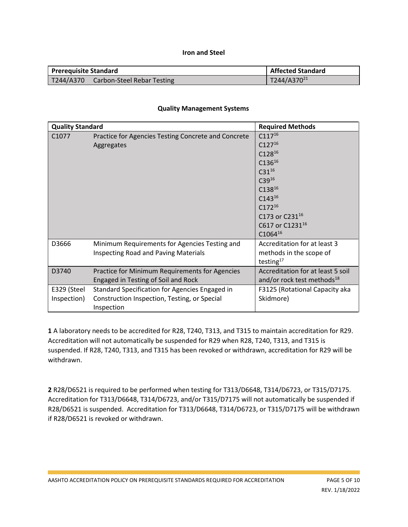### **Iron and Steel**

| <b>Prerequisite Standard</b> |                                   | <b>Affected Standard</b> |
|------------------------------|-----------------------------------|--------------------------|
| T244/A370                    | <b>Carbon-Steel Rebar Testing</b> | T244/A370 <sup>21</sup>  |

### **Quality Management Systems**

| <b>Quality Standard</b>    |                                                                                                                                                | <b>Required Methods</b>                                                                                                                                                                                        |
|----------------------------|------------------------------------------------------------------------------------------------------------------------------------------------|----------------------------------------------------------------------------------------------------------------------------------------------------------------------------------------------------------------|
| C <sub>1077</sub>          | Practice for Agencies Testing Concrete and Concrete<br>Aggregates                                                                              | $C117^{16}$<br>$C127^{16}$<br>$C128^{16}$<br>$C136^{16}$<br>$C31^{16}$<br>$C39^{16}$<br>$C138^{16}$<br>$C143^{16}$<br>$C172^{16}$<br>C173 or C231 <sup>16</sup><br>C617 or C1231 <sup>16</sup><br>$C1064^{16}$ |
| D3666<br>D3740             | Minimum Requirements for Agencies Testing and<br><b>Inspecting Road and Paving Materials</b><br>Practice for Minimum Requirements for Agencies | Accreditation for at least 3<br>methods in the scope of<br>testing $17$<br>Accreditation for at least 5 soil                                                                                                   |
|                            | Engaged in Testing of Soil and Rock                                                                                                            | and/or rock test methods <sup>18</sup>                                                                                                                                                                         |
| E329 (Steel<br>Inspection) | Standard Specification for Agencies Engaged in<br>Construction Inspection, Testing, or Special<br>Inspection                                   | F3125 (Rotational Capacity aka<br>Skidmore)                                                                                                                                                                    |

**1** A laboratory needs to be accredited for R28, T240, T313, and T315 to maintain accreditation for R29. Accreditation will not automatically be suspended for R29 when R28, T240, T313, and T315 is suspended. If R28, T240, T313, and T315 has been revoked or withdrawn, accreditation for R29 will be withdrawn.

**2** R28/D6521 is required to be performed when testing for T313/D6648, T314/D6723, or T315/D7175. Accreditation for T313/D6648, T314/D6723, and/or T315/D7175 will not automatically be suspended if R28/D6521 is suspended. Accreditation for T313/D6648, T314/D6723, or T315/D7175 will be withdrawn if R28/D6521 is revoked or withdrawn.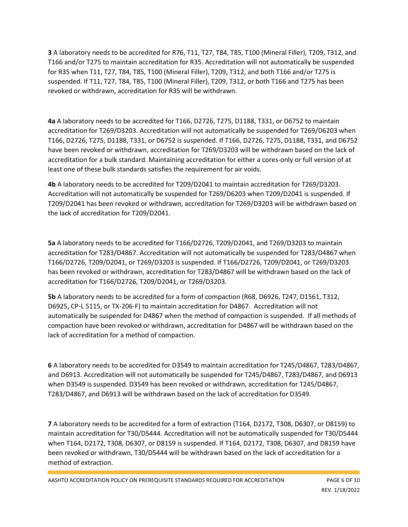**3** A laboratory needs to be accredited for R76, T11, T27, T84, T85, T100 (Mineral Filler), T209, T312, and T166 and/or T275 to maintain accreditation for R35. Accreditation will not automatically be suspended for R35 when T11, T27, T84, T85, T100 (Mineral Filler), T209, T312, and both T166 and/or T275 is suspended. If T11, T27, T84, T85, T100 (Mineral Filler), T209, T312, or both T166 and T275 has been revoked or withdrawn, accreditation for R35 will be withdrawn.

**4a** A laboratory needs to be accredited for T166, D2726, T275, D1188, T331, or D6752 to maintain accreditation for T269/D3203. Accreditation will not automatically be suspended for T269/D6203 when T166, D2726, T275, D1188, T331, or D6752 is suspended. If T166, D2726, T275, D1188, T331, and D6752 have been revoked or withdrawn, accreditation for T269/D3203 will be withdrawn based on the lack of accreditation for a bulk standard. Maintaining accreditation for either a cores-only or full version of at least one of these bulk standards satisfies the requirement for air voids.

**4b** A laboratory needs to be accredited for T209/D2041 to maintain accreditation for T269/D3203. Accreditation will not automatically be suspended for T269/D6203 when T209/D2041 is suspended. If T209/D2041 has been revoked or withdrawn, accreditation for T269/D3203 will be withdrawn based on the lack of accreditation for T209/D2041.

**5a** A laboratory needs to be accredited for T166/D2726, T209/D2041, and T269/D3203 to maintain accreditation for T283/D4867. Accreditation will not automatically be suspended for T283/D4867 when T166/D2726, T209/D2041, or T269/D3203 is suspended. If T166/D2726, T209/D2041, or T269/D3203 has been revoked or withdrawn, accreditation for T283/D4867 will be withdrawn based on the lack of accreditation for T166/D2726, T209/D2041, or T269/D3203.

**5b** A laboratory needs to be accredited for a form of compaction (R68, D6926, T247, D1561, T312, D6925, CP-L 5115, or TX-206-F) to maintain accreditation for D4867. Accreditation will not automatically be suspended for D4867 when the method of compaction is suspended. If all methods of compaction have been revoked or withdrawn, accreditation for D4867 will be withdrawn based on the lack of accreditation for a method of compaction.

**6** A laboratory needs to be accredited for D3549 to maintain accreditation for T245/D4867, T283/D4867, and D6913. Accreditation will not automatically be suspended for T245/D4867, T283/D4867, and D6913 when D3549 is suspended. D3549 has been revoked or withdrawn, accreditation for T245/D4867, T283/D4867, and D6913 will be withdrawn based on the lack of accreditation for D3549.

**7** A laboratory needs to be accredited for a form of extraction (T164, D2172, T308, D6307, or D8159) to maintain accreditation for T30/D5444. Accreditation will not be automatically suspended for T30/D5444 when T164, D2172, T308, D6307, or D8159 is suspended. If T164, D2172, T308, D6307, and D8159 have been revoked or withdrawn, T30/D5444 will be withdrawn based on the lack of accreditation for a method of extraction.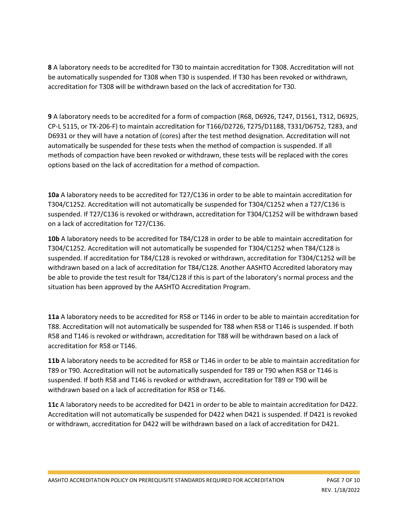**8** A laboratory needs to be accredited for T30 to maintain accreditation for T308. Accreditation will not be automatically suspended for T308 when T30 is suspended. If T30 has been revoked or withdrawn, accreditation for T308 will be withdrawn based on the lack of accreditation for T30.

**9** A laboratory needs to be accredited for a form of compaction (R68, D6926, T247, D1561, T312, D6925, CP-L 5115, or TX-206-F) to maintain accreditation for T166/D2726, T275/D1188, T331/D6752, T283, and D6931 or they will have a notation of (cores) after the test method designation. Accreditation will not automatically be suspended for these tests when the method of compaction is suspended. If all methods of compaction have been revoked or withdrawn, these tests will be replaced with the cores options based on the lack of accreditation for a method of compaction.

**10a** A laboratory needs to be accredited for T27/C136 in order to be able to maintain accreditation for T304/C1252. Accreditation will not automatically be suspended for T304/C1252 when a T27/C136 is suspended. If T27/C136 is revoked or withdrawn, accreditation for T304/C1252 will be withdrawn based on a lack of accreditation for T27/C136.

**10b** A laboratory needs to be accredited for T84/C128 in order to be able to maintain accreditation for T304/C1252. Accreditation will not automatically be suspended for T304/C1252 when T84/C128 is suspended. If accreditation for T84/C128 is revoked or withdrawn, accreditation for T304/C1252 will be withdrawn based on a lack of accreditation for T84/C128. Another AASHTO Accredited laboratory may be able to provide the test result for T84/C128 if this is part of the laboratory's normal process and the situation has been approved by the AASHTO Accreditation Program.

**11a** A laboratory needs to be accredited for R58 or T146 in order to be able to maintain accreditation for T88. Accreditation will not automatically be suspended for T88 when R58 or T146 is suspended. If both R58 and T146 is revoked or withdrawn, accreditation for T88 will be withdrawn based on a lack of accreditation for R58 or T146.

**11b** A laboratory needs to be accredited for R58 or T146 in order to be able to maintain accreditation for T89 or T90. Accreditation will not be automatically suspended for T89 or T90 when R58 or T146 is suspended. If both R58 and T146 is revoked or withdrawn, accreditation for T89 or T90 will be withdrawn based on a lack of accreditation for R58 or T146.

**11c** A laboratory needs to be accredited for D421 in order to be able to maintain accreditation for D422. Accreditation will not automatically be suspended for D422 when D421 is suspended. If D421 is revoked or withdrawn, accreditation for D422 will be withdrawn based on a lack of accreditation for D421.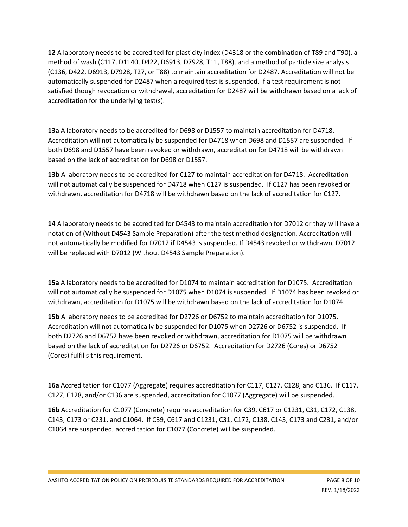**12** A laboratory needs to be accredited for plasticity index (D4318 or the combination of T89 and T90), a method of wash (C117, D1140, D422, D6913, D7928, T11, T88), and a method of particle size analysis (C136, D422, D6913, D7928, T27, or T88) to maintain accreditation for D2487. Accreditation will not be automatically suspended for D2487 when a required test is suspended. If a test requirement is not satisfied though revocation or withdrawal, accreditation for D2487 will be withdrawn based on a lack of accreditation for the underlying test(s).

**13a** A laboratory needs to be accredited for D698 or D1557 to maintain accreditation for D4718. Accreditation will not automatically be suspended for D4718 when D698 and D1557 are suspended. If both D698 and D1557 have been revoked or withdrawn, accreditation for D4718 will be withdrawn based on the lack of accreditation for D698 or D1557.

**13b** A laboratory needs to be accredited for C127 to maintain accreditation for D4718. Accreditation will not automatically be suspended for D4718 when C127 is suspended. If C127 has been revoked or withdrawn, accreditation for D4718 will be withdrawn based on the lack of accreditation for C127.

**14** A laboratory needs to be accredited for D4543 to maintain accreditation for D7012 or they will have a notation of (Without D4543 Sample Preparation) after the test method designation. Accreditation will not automatically be modified for D7012 if D4543 is suspended. If D4543 revoked or withdrawn, D7012 will be replaced with D7012 (Without D4543 Sample Preparation).

**15a** A laboratory needs to be accredited for D1074 to maintain accreditation for D1075. Accreditation will not automatically be suspended for D1075 when D1074 is suspended. If D1074 has been revoked or withdrawn, accreditation for D1075 will be withdrawn based on the lack of accreditation for D1074.

**15b** A laboratory needs to be accredited for D2726 or D6752 to maintain accreditation for D1075. Accreditation will not automatically be suspended for D1075 when D2726 or D6752 is suspended. If both D2726 and D6752 have been revoked or withdrawn, accreditation for D1075 will be withdrawn based on the lack of accreditation for D2726 or D6752. Accreditation for D2726 (Cores) or D6752 (Cores) fulfills this requirement.

**16a** Accreditation for C1077 (Aggregate) requires accreditation for C117, C127, C128, and C136. If C117, C127, C128, and/or C136 are suspended, accreditation for C1077 (Aggregate) will be suspended.

**16b** Accreditation for C1077 (Concrete) requires accreditation for C39, C617 or C1231, C31, C172, C138, C143, C173 or C231, and C1064. If C39, C617 and C1231, C31, C172, C138, C143, C173 and C231, and/or C1064 are suspended, accreditation for C1077 (Concrete) will be suspended.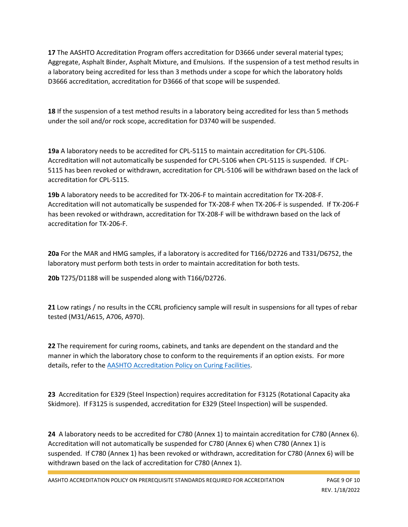**17** The AASHTO Accreditation Program offers accreditation for D3666 under several material types; Aggregate, Asphalt Binder, Asphalt Mixture, and Emulsions. If the suspension of a test method results in a laboratory being accredited for less than 3 methods under a scope for which the laboratory holds D3666 accreditation, accreditation for D3666 of that scope will be suspended.

**18** If the suspension of a test method results in a laboratory being accredited for less than 5 methods under the soil and/or rock scope, accreditation for D3740 will be suspended.

**19a** A laboratory needs to be accredited for CPL-5115 to maintain accreditation for CPL-5106. Accreditation will not automatically be suspended for CPL-5106 when CPL-5115 is suspended. If CPL-5115 has been revoked or withdrawn, accreditation for CPL-5106 will be withdrawn based on the lack of accreditation for CPL-5115.

**19b** A laboratory needs to be accredited for TX-206-F to maintain accreditation for TX-208-F. Accreditation will not automatically be suspended for TX-208-F when TX-206-F is suspended. If TX-206-F has been revoked or withdrawn, accreditation for TX-208-F will be withdrawn based on the lack of accreditation for TX-206-F.

**20a** For the MAR and HMG samples, if a laboratory is accredited for T166/D2726 and T331/D6752, the laboratory must perform both tests in order to maintain accreditation for both tests.

**20b** T275/D1188 will be suspended along with T166/D2726.

**21** Low ratings / no results in the CCRL proficiency sample will result in suspensions for all types of rebar tested (M31/A615, A706, A970).

**22** The requirement for curing rooms, cabinets, and tanks are dependent on the standard and the manner in which the laboratory chose to conform to the requirements if an option exists. For more details, refer to th[e AASHTO Accreditation Policy on Curing Facilities.](http://aashtoresource.org/docs/default-source/publicdocuments/aashto-accreditation-policy-on-curing-facilities.pdf?sfvrsn=12)

**23** Accreditation for E329 (Steel Inspection) requires accreditation for F3125 (Rotational Capacity aka Skidmore). If F3125 is suspended, accreditation for E329 (Steel Inspection) will be suspended.

**24** A laboratory needs to be accredited for C780 (Annex 1) to maintain accreditation for C780 (Annex 6). Accreditation will not automatically be suspended for C780 (Annex 6) when C780 (Annex 1) is suspended. If C780 (Annex 1) has been revoked or withdrawn, accreditation for C780 (Annex 6) will be withdrawn based on the lack of accreditation for C780 (Annex 1).